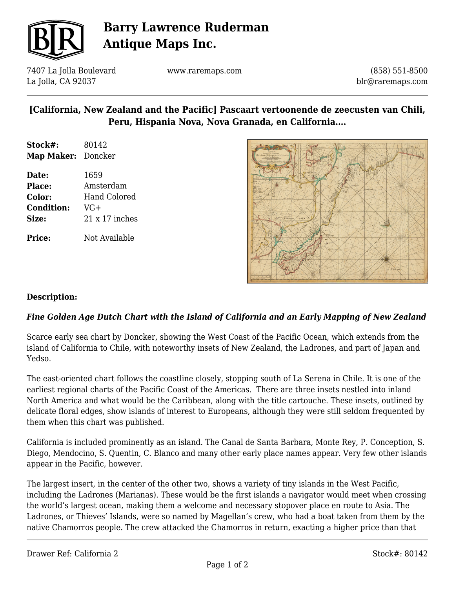

## **Barry Lawrence Ruderman Antique Maps Inc.**

7407 La Jolla Boulevard La Jolla, CA 92037

www.raremaps.com

(858) 551-8500 blr@raremaps.com

### **[California, New Zealand and the Pacific] Pascaart vertoonende de zeecusten van Chili, Peru, Hispania Nova, Nova Granada, en California….**

| Stock#:            | 80142 |
|--------------------|-------|
| Map Maker: Doncker |       |

**Date:** 1659 **Place:** Amsterdam **Color:** Hand Colored **Condition:** VG+ **Size:** 21 x 17 inches

**Price:** Not Available



### **Description:**

### *Fine Golden Age Dutch Chart with the Island of California and an Early Mapping of New Zealand*

Scarce early sea chart by Doncker, showing the West Coast of the Pacific Ocean, which extends from the island of California to Chile, with noteworthy insets of New Zealand, the Ladrones, and part of Japan and Yedso.

The east-oriented chart follows the coastline closely, stopping south of La Serena in Chile. It is one of the earliest regional charts of the Pacific Coast of the Americas. There are three insets nestled into inland North America and what would be the Caribbean, along with the title cartouche. These insets, outlined by delicate floral edges, show islands of interest to Europeans, although they were still seldom frequented by them when this chart was published.

California is included prominently as an island. The Canal de Santa Barbara, Monte Rey, P. Conception, S. Diego, Mendocino, S. Quentin, C. Blanco and many other early place names appear. Very few other islands appear in the Pacific, however.

The largest insert, in the center of the other two, shows a variety of tiny islands in the West Pacific, including the Ladrones (Marianas). These would be the first islands a navigator would meet when crossing the world's largest ocean, making them a welcome and necessary stopover place en route to Asia. The Ladrones, or Thieves' Islands, were so named by Magellan's crew, who had a boat taken from them by the native Chamorros people. The crew attacked the Chamorros in return, exacting a higher price than that